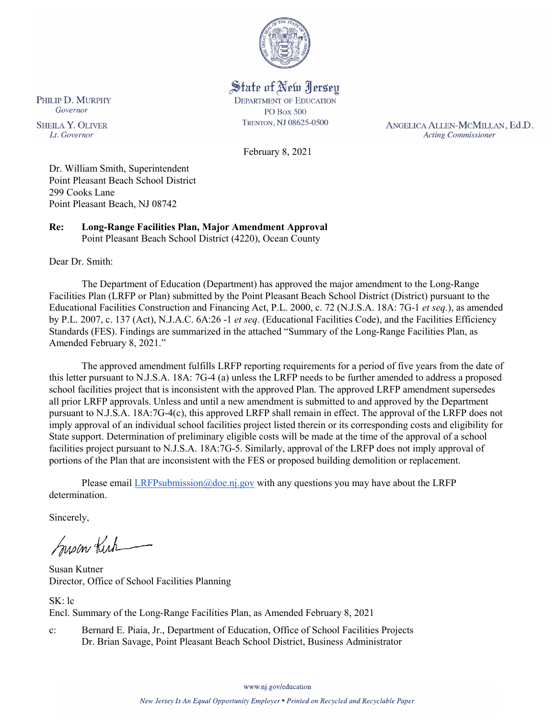

State of New Jersey **DEPARTMENT OF EDUCATION PO Box 500** TRENTON, NJ 08625-0500

ANGELICA ALLEN-MCMILLAN, Ed.D. **Acting Commissioner** 

February 8, 2021

Dr. William Smith, Superintendent Point Pleasant Beach School District 299 Cooks Lane Point Pleasant Beach, NJ 08742

**Re: Long-Range Facilities Plan, Major Amendment Approval**  Point Pleasant Beach School District (4220), Ocean County

Dear Dr. Smith:

PHILIP D. MURPHY Governor

**SHEILA Y. OLIVER** 

Lt. Governor

The Department of Education (Department) has approved the major amendment to the Long-Range Facilities Plan (LRFP or Plan) submitted by the Point Pleasant Beach School District (District) pursuant to the Educational Facilities Construction and Financing Act, P.L. 2000, c. 72 (N.J.S.A. 18A: 7G-1 *et seq.*), as amended by P.L. 2007, c. 137 (Act), N.J.A.C. 6A:26 -1 *et seq.* (Educational Facilities Code), and the Facilities Efficiency Standards (FES). Findings are summarized in the attached "Summary of the Long-Range Facilities Plan, as Amended February 8, 2021."

The approved amendment fulfills LRFP reporting requirements for a period of five years from the date of this letter pursuant to N.J.S.A. 18A: 7G-4 (a) unless the LRFP needs to be further amended to address a proposed school facilities project that is inconsistent with the approved Plan. The approved LRFP amendment supersedes all prior LRFP approvals. Unless and until a new amendment is submitted to and approved by the Department pursuant to N.J.S.A. 18A:7G-4(c), this approved LRFP shall remain in effect. The approval of the LRFP does not imply approval of an individual school facilities project listed therein or its corresponding costs and eligibility for State support. Determination of preliminary eligible costs will be made at the time of the approval of a school facilities project pursuant to N.J.S.A. 18A:7G-5. Similarly, approval of the LRFP does not imply approval of portions of the Plan that are inconsistent with the FES or proposed building demolition or replacement.

Please email [LRFPsubmission@doe.nj.gov](mailto:LRFPsubmission@doe.nj.gov) with any questions you may have about the LRFP determination.

Sincerely,

Susan Kich

Susan Kutner Director, Office of School Facilities Planning

SK: lc Encl. Summary of the Long-Range Facilities Plan, as Amended February 8, 2021

c: Bernard E. Piaia, Jr., Department of Education, Office of School Facilities Projects Dr. Brian Savage, Point Pleasant Beach School District, Business Administrator

www.nj.gov/education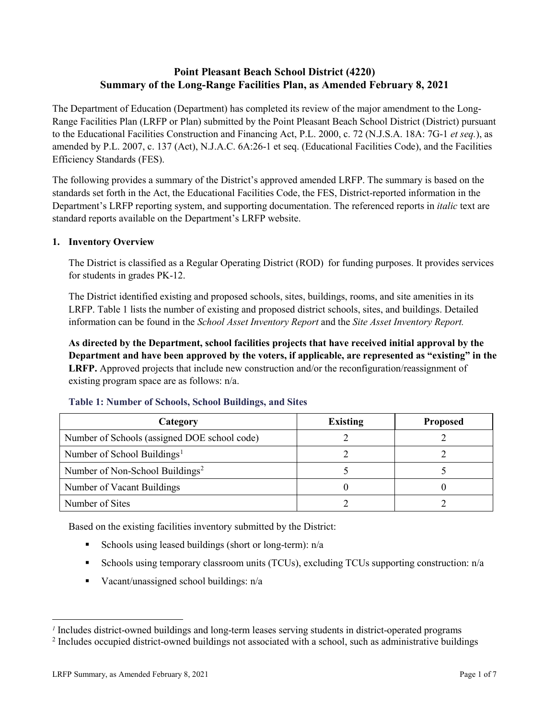### **Point Pleasant Beach School District (4220) Summary of the Long-Range Facilities Plan, as Amended February 8, 2021**

The Department of Education (Department) has completed its review of the major amendment to the Long-Range Facilities Plan (LRFP or Plan) submitted by the Point Pleasant Beach School District (District) pursuant to the Educational Facilities Construction and Financing Act, P.L. 2000, c. 72 (N.J.S.A. 18A: 7G-1 *et seq.*), as amended by P.L. 2007, c. 137 (Act), N.J.A.C. 6A:26-1 et seq. (Educational Facilities Code), and the Facilities Efficiency Standards (FES).

The following provides a summary of the District's approved amended LRFP. The summary is based on the standards set forth in the Act, the Educational Facilities Code, the FES, District-reported information in the Department's LRFP reporting system, and supporting documentation. The referenced reports in *italic* text are standard reports available on the Department's LRFP website.

#### **1. Inventory Overview**

The District is classified as a Regular Operating District (ROD) for funding purposes. It provides services for students in grades PK-12.

The District identified existing and proposed schools, sites, buildings, rooms, and site amenities in its LRFP. Table 1 lists the number of existing and proposed district schools, sites, and buildings. Detailed information can be found in the *School Asset Inventory Report* and the *Site Asset Inventory Report.*

**As directed by the Department, school facilities projects that have received initial approval by the Department and have been approved by the voters, if applicable, are represented as "existing" in the LRFP.** Approved projects that include new construction and/or the reconfiguration/reassignment of existing program space are as follows: n/a.

| Category                                     | <b>Existing</b> | <b>Proposed</b> |
|----------------------------------------------|-----------------|-----------------|
| Number of Schools (assigned DOE school code) |                 |                 |
| Number of School Buildings <sup>1</sup>      |                 |                 |
| Number of Non-School Buildings <sup>2</sup>  |                 |                 |
| Number of Vacant Buildings                   |                 |                 |
| Number of Sites                              |                 |                 |

#### **Table 1: Number of Schools, School Buildings, and Sites**

Based on the existing facilities inventory submitted by the District:

- Schools using leased buildings (short or long-term):  $n/a$
- Schools using temporary classroom units (TCUs), excluding TCUs supporting construction:  $n/a$
- Vacant/unassigned school buildings:  $n/a$

 $\overline{a}$ 

<span id="page-1-1"></span><span id="page-1-0"></span>*<sup>1</sup>* Includes district-owned buildings and long-term leases serving students in district-operated programs

<sup>&</sup>lt;sup>2</sup> Includes occupied district-owned buildings not associated with a school, such as administrative buildings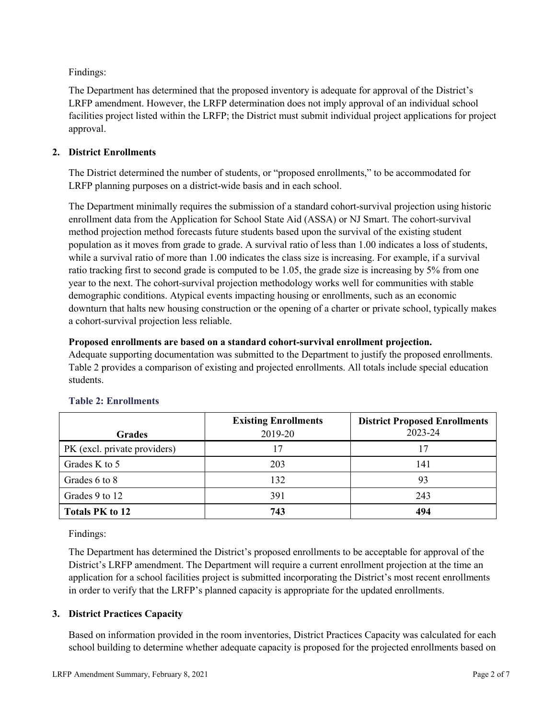Findings:

The Department has determined that the proposed inventory is adequate for approval of the District's LRFP amendment. However, the LRFP determination does not imply approval of an individual school facilities project listed within the LRFP; the District must submit individual project applications for project approval.

### **2. District Enrollments**

The District determined the number of students, or "proposed enrollments," to be accommodated for LRFP planning purposes on a district-wide basis and in each school.

The Department minimally requires the submission of a standard cohort-survival projection using historic enrollment data from the Application for School State Aid (ASSA) or NJ Smart. The cohort-survival method projection method forecasts future students based upon the survival of the existing student population as it moves from grade to grade. A survival ratio of less than 1.00 indicates a loss of students, while a survival ratio of more than 1.00 indicates the class size is increasing. For example, if a survival ratio tracking first to second grade is computed to be 1.05, the grade size is increasing by 5% from one year to the next. The cohort-survival projection methodology works well for communities with stable demographic conditions. Atypical events impacting housing or enrollments, such as an economic downturn that halts new housing construction or the opening of a charter or private school, typically makes a cohort-survival projection less reliable.

### **Proposed enrollments are based on a standard cohort-survival enrollment projection.**

Adequate supporting documentation was submitted to the Department to justify the proposed enrollments. Table 2 provides a comparison of existing and projected enrollments. All totals include special education students.

|                              | <b>Existing Enrollments</b> | <b>District Proposed Enrollments</b> |
|------------------------------|-----------------------------|--------------------------------------|
| <b>Grades</b>                | 2019-20                     | 2023-24                              |
| PK (excl. private providers) |                             | 17                                   |
| Grades K to 5                | 203                         | 141                                  |
| Grades 6 to 8                | 132                         | 93                                   |
| Grades 9 to 12               | 391                         | 243                                  |
| <b>Totals PK to 12</b>       | 743                         | 494                                  |

# **Table 2: Enrollments**

Findings:

The Department has determined the District's proposed enrollments to be acceptable for approval of the District's LRFP amendment. The Department will require a current enrollment projection at the time an application for a school facilities project is submitted incorporating the District's most recent enrollments in order to verify that the LRFP's planned capacity is appropriate for the updated enrollments.

# **3. District Practices Capacity**

Based on information provided in the room inventories, District Practices Capacity was calculated for each school building to determine whether adequate capacity is proposed for the projected enrollments based on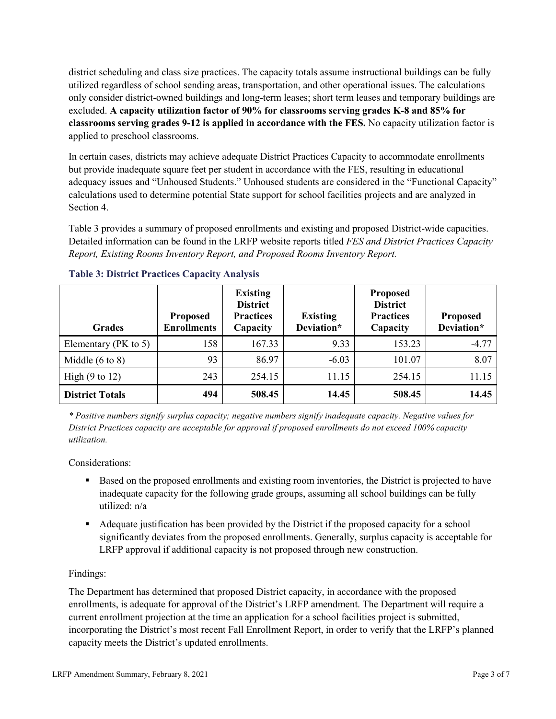district scheduling and class size practices. The capacity totals assume instructional buildings can be fully utilized regardless of school sending areas, transportation, and other operational issues. The calculations only consider district-owned buildings and long-term leases; short term leases and temporary buildings are excluded. **A capacity utilization factor of 90% for classrooms serving grades K-8 and 85% for classrooms serving grades 9-12 is applied in accordance with the FES.** No capacity utilization factor is applied to preschool classrooms.

In certain cases, districts may achieve adequate District Practices Capacity to accommodate enrollments but provide inadequate square feet per student in accordance with the FES, resulting in educational adequacy issues and "Unhoused Students." Unhoused students are considered in the "Functional Capacity" calculations used to determine potential State support for school facilities projects and are analyzed in Section 4.

Table 3 provides a summary of proposed enrollments and existing and proposed District-wide capacities. Detailed information can be found in the LRFP website reports titled *FES and District Practices Capacity Report, Existing Rooms Inventory Report, and Proposed Rooms Inventory Report.*

| <b>Grades</b>              | <b>Proposed</b><br><b>Enrollments</b> | <b>Existing</b><br><b>District</b><br><b>Practices</b><br>Capacity | <b>Existing</b><br>Deviation* | <b>Proposed</b><br><b>District</b><br><b>Practices</b><br>Capacity | <b>Proposed</b><br>Deviation* |
|----------------------------|---------------------------------------|--------------------------------------------------------------------|-------------------------------|--------------------------------------------------------------------|-------------------------------|
| Elementary ( $PK$ to 5)    | 158                                   | 167.33                                                             | 9.33                          | 153.23                                                             | $-4.77$                       |
| Middle $(6 \text{ to } 8)$ | 93                                    | 86.97                                                              | $-6.03$                       | 101.07                                                             | 8.07                          |
| High $(9 \text{ to } 12)$  | 243                                   | 254.15                                                             | 11.15                         | 254.15                                                             | 11.15                         |
| <b>District Totals</b>     | 494                                   | 508.45                                                             | 14.45                         | 508.45                                                             | 14.45                         |

### **Table 3: District Practices Capacity Analysis**

*\* Positive numbers signify surplus capacity; negative numbers signify inadequate capacity. Negative values for District Practices capacity are acceptable for approval if proposed enrollments do not exceed 100% capacity utilization.*

Considerations:

- Based on the proposed enrollments and existing room inventories, the District is projected to have inadequate capacity for the following grade groups, assuming all school buildings can be fully utilized: n/a
- Adequate justification has been provided by the District if the proposed capacity for a school significantly deviates from the proposed enrollments. Generally, surplus capacity is acceptable for LRFP approval if additional capacity is not proposed through new construction.

# Findings:

The Department has determined that proposed District capacity, in accordance with the proposed enrollments, is adequate for approval of the District's LRFP amendment. The Department will require a current enrollment projection at the time an application for a school facilities project is submitted, incorporating the District's most recent Fall Enrollment Report, in order to verify that the LRFP's planned capacity meets the District's updated enrollments.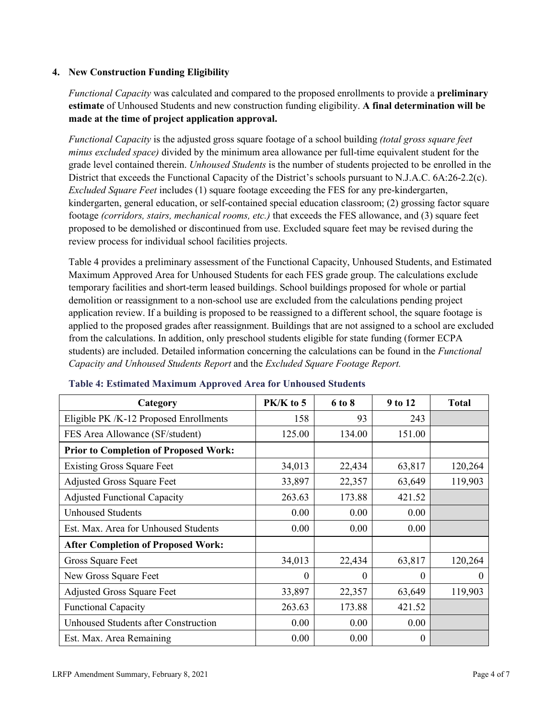### **4. New Construction Funding Eligibility**

*Functional Capacity* was calculated and compared to the proposed enrollments to provide a **preliminary estimate** of Unhoused Students and new construction funding eligibility. **A final determination will be made at the time of project application approval.**

*Functional Capacity* is the adjusted gross square footage of a school building *(total gross square feet minus excluded space)* divided by the minimum area allowance per full-time equivalent student for the grade level contained therein. *Unhoused Students* is the number of students projected to be enrolled in the District that exceeds the Functional Capacity of the District's schools pursuant to N.J.A.C. 6A:26-2.2(c). *Excluded Square Feet* includes (1) square footage exceeding the FES for any pre-kindergarten, kindergarten, general education, or self-contained special education classroom; (2) grossing factor square footage *(corridors, stairs, mechanical rooms, etc.)* that exceeds the FES allowance, and (3) square feet proposed to be demolished or discontinued from use. Excluded square feet may be revised during the review process for individual school facilities projects.

Table 4 provides a preliminary assessment of the Functional Capacity, Unhoused Students, and Estimated Maximum Approved Area for Unhoused Students for each FES grade group. The calculations exclude temporary facilities and short-term leased buildings. School buildings proposed for whole or partial demolition or reassignment to a non-school use are excluded from the calculations pending project application review. If a building is proposed to be reassigned to a different school, the square footage is applied to the proposed grades after reassignment. Buildings that are not assigned to a school are excluded from the calculations. In addition, only preschool students eligible for state funding (former ECPA students) are included. Detailed information concerning the calculations can be found in the *Functional Capacity and Unhoused Students Report* and the *Excluded Square Footage Report.*

| Category                                     | $PK/K$ to 5 | 6 to 8 | 9 to 12  | <b>Total</b> |
|----------------------------------------------|-------------|--------|----------|--------------|
| Eligible PK /K-12 Proposed Enrollments       | 158         | 93     | 243      |              |
| FES Area Allowance (SF/student)              | 125.00      | 134.00 | 151.00   |              |
| <b>Prior to Completion of Proposed Work:</b> |             |        |          |              |
| <b>Existing Gross Square Feet</b>            | 34,013      | 22,434 | 63,817   | 120,264      |
| <b>Adjusted Gross Square Feet</b>            | 33,897      | 22,357 | 63,649   | 119,903      |
| <b>Adjusted Functional Capacity</b>          | 263.63      | 173.88 | 421.52   |              |
| <b>Unhoused Students</b>                     | 0.00        | 0.00   | 0.00     |              |
| Est. Max. Area for Unhoused Students         | 0.00        | 0.00   | 0.00     |              |
| <b>After Completion of Proposed Work:</b>    |             |        |          |              |
| Gross Square Feet                            | 34,013      | 22,434 | 63,817   | 120,264      |
| New Gross Square Feet                        | $\theta$    | 0      | $\theta$ | $\theta$     |
| <b>Adjusted Gross Square Feet</b>            | 33,897      | 22,357 | 63,649   | 119,903      |
| <b>Functional Capacity</b>                   | 263.63      | 173.88 | 421.52   |              |
| Unhoused Students after Construction         | 0.00        | 0.00   | 0.00     |              |
| Est. Max. Area Remaining                     | 0.00        | 0.00   | $\theta$ |              |

### **Table 4: Estimated Maximum Approved Area for Unhoused Students**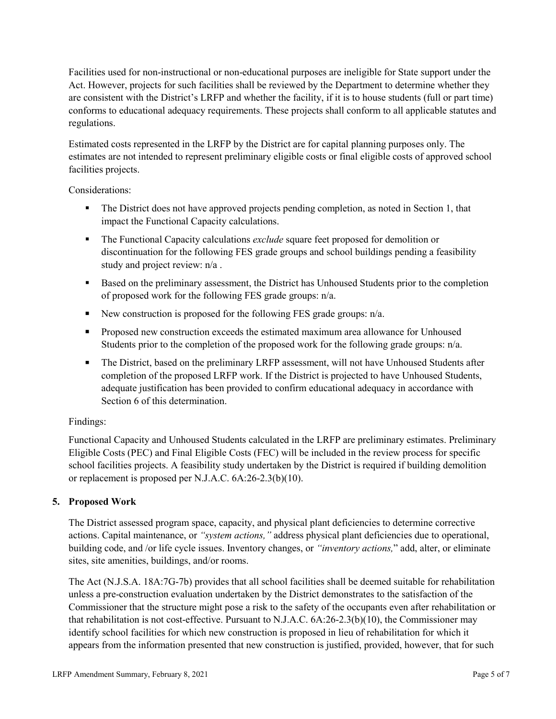Facilities used for non-instructional or non-educational purposes are ineligible for State support under the Act. However, projects for such facilities shall be reviewed by the Department to determine whether they are consistent with the District's LRFP and whether the facility, if it is to house students (full or part time) conforms to educational adequacy requirements. These projects shall conform to all applicable statutes and regulations.

Estimated costs represented in the LRFP by the District are for capital planning purposes only. The estimates are not intended to represent preliminary eligible costs or final eligible costs of approved school facilities projects.

Considerations:

- The District does not have approved projects pending completion, as noted in Section 1, that impact the Functional Capacity calculations.
- **The Functional Capacity calculations** *exclude* square feet proposed for demolition or discontinuation for the following FES grade groups and school buildings pending a feasibility study and project review: n/a .
- Based on the preliminary assessment, the District has Unhoused Students prior to the completion of proposed work for the following FES grade groups: n/a.
- New construction is proposed for the following FES grade groups: n/a.
- Proposed new construction exceeds the estimated maximum area allowance for Unhoused Students prior to the completion of the proposed work for the following grade groups: n/a.
- The District, based on the preliminary LRFP assessment, will not have Unhoused Students after completion of the proposed LRFP work. If the District is projected to have Unhoused Students, adequate justification has been provided to confirm educational adequacy in accordance with Section 6 of this determination.

### Findings:

Functional Capacity and Unhoused Students calculated in the LRFP are preliminary estimates. Preliminary Eligible Costs (PEC) and Final Eligible Costs (FEC) will be included in the review process for specific school facilities projects. A feasibility study undertaken by the District is required if building demolition or replacement is proposed per N.J.A.C. 6A:26-2.3(b)(10).

# **5. Proposed Work**

The District assessed program space, capacity, and physical plant deficiencies to determine corrective actions. Capital maintenance, or *"system actions,"* address physical plant deficiencies due to operational, building code, and /or life cycle issues. Inventory changes, or *"inventory actions,*" add, alter, or eliminate sites, site amenities, buildings, and/or rooms.

The Act (N.J.S.A. 18A:7G-7b) provides that all school facilities shall be deemed suitable for rehabilitation unless a pre-construction evaluation undertaken by the District demonstrates to the satisfaction of the Commissioner that the structure might pose a risk to the safety of the occupants even after rehabilitation or that rehabilitation is not cost-effective. Pursuant to N.J.A.C. 6A:26-2.3(b)(10), the Commissioner may identify school facilities for which new construction is proposed in lieu of rehabilitation for which it appears from the information presented that new construction is justified, provided, however, that for such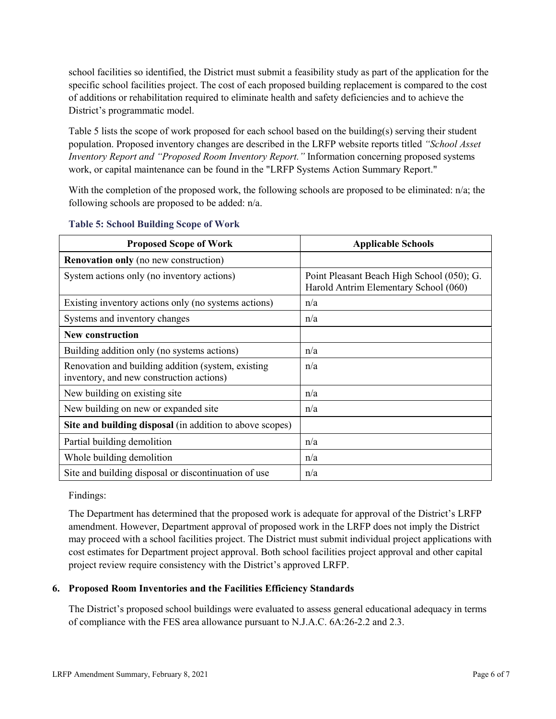school facilities so identified, the District must submit a feasibility study as part of the application for the specific school facilities project. The cost of each proposed building replacement is compared to the cost of additions or rehabilitation required to eliminate health and safety deficiencies and to achieve the District's programmatic model.

Table 5 lists the scope of work proposed for each school based on the building(s) serving their student population. Proposed inventory changes are described in the LRFP website reports titled *"School Asset Inventory Report and "Proposed Room Inventory Report."* Information concerning proposed systems work, or capital maintenance can be found in the "LRFP Systems Action Summary Report."

With the completion of the proposed work, the following schools are proposed to be eliminated: n/a; the following schools are proposed to be added: n/a.

| <b>Proposed Scope of Work</b>                                                                  | <b>Applicable Schools</b>                                                           |
|------------------------------------------------------------------------------------------------|-------------------------------------------------------------------------------------|
| <b>Renovation only</b> (no new construction)                                                   |                                                                                     |
| System actions only (no inventory actions)                                                     | Point Pleasant Beach High School (050); G.<br>Harold Antrim Elementary School (060) |
| Existing inventory actions only (no systems actions)                                           | n/a                                                                                 |
| Systems and inventory changes                                                                  | n/a                                                                                 |
| <b>New construction</b>                                                                        |                                                                                     |
| Building addition only (no systems actions)                                                    | n/a                                                                                 |
| Renovation and building addition (system, existing<br>inventory, and new construction actions) | n/a                                                                                 |
| New building on existing site                                                                  | n/a                                                                                 |
| New building on new or expanded site                                                           | n/a                                                                                 |
| Site and building disposal (in addition to above scopes)                                       |                                                                                     |
| Partial building demolition                                                                    | n/a                                                                                 |
| Whole building demolition                                                                      | n/a                                                                                 |
| Site and building disposal or discontinuation of use                                           | n/a                                                                                 |

#### **Table 5: School Building Scope of Work**

Findings:

The Department has determined that the proposed work is adequate for approval of the District's LRFP amendment. However, Department approval of proposed work in the LRFP does not imply the District may proceed with a school facilities project. The District must submit individual project applications with cost estimates for Department project approval. Both school facilities project approval and other capital project review require consistency with the District's approved LRFP.

### **6. Proposed Room Inventories and the Facilities Efficiency Standards**

The District's proposed school buildings were evaluated to assess general educational adequacy in terms of compliance with the FES area allowance pursuant to N.J.A.C. 6A:26-2.2 and 2.3.